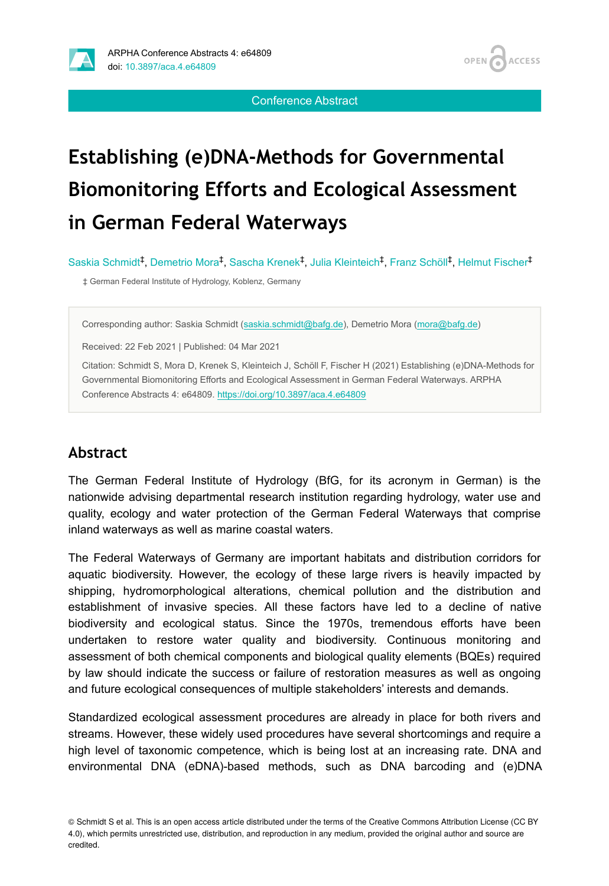Conference Abstract

OPEN /

**ACCESS** 

# **Establishing (e)DNA-Methods for Governmental Biomonitoring Efforts and Ecological Assessment in German Federal Waterways**

Saskia Schmidt<sup>‡</sup>, Demetrio Mora<sup>‡</sup>, Sascha Krenek<sup>‡</sup>, Julia Kleinteich<sup>‡</sup>, Franz Schöll<sup>‡</sup>, Helmut Fischer<sup>‡</sup>

‡ German Federal Institute of Hydrology, Koblenz, Germany

Corresponding author: Saskia Schmidt ([saskia.schmidt@bafg.de](mailto:saskia.schmidt@bafg.de)), Demetrio Mora [\(mora@bafg.de\)](mailto:mora@bafg.de)

Received: 22 Feb 2021 | Published: 04 Mar 2021

Citation: Schmidt S, Mora D, Krenek S, Kleinteich J, Schöll F, Fischer H (2021) Establishing (e)DNA-Methods for Governmental Biomonitoring Efforts and Ecological Assessment in German Federal Waterways. ARPHA Conference Abstracts 4: e64809. <https://doi.org/10.3897/aca.4.e64809>

### **Abstract**

The German Federal Institute of Hydrology (BfG, for its acronym in German) is the nationwide advising departmental research institution regarding hydrology, water use and quality, ecology and water protection of the German Federal Waterways that comprise inland waterways as well as marine coastal waters.

The Federal Waterways of Germany are important habitats and distribution corridors for aquatic biodiversity. However, the ecology of these large rivers is heavily impacted by shipping, hydromorphological alterations, chemical pollution and the distribution and establishment of invasive species. All these factors have led to a decline of native biodiversity and ecological status. Since the 1970s, tremendous efforts have been undertaken to restore water quality and biodiversity. Continuous monitoring and assessment of both chemical components and biological quality elements (BQEs) required by law should indicate the success or failure of restoration measures as well as ongoing and future ecological consequences of multiple stakeholders' interests and demands.

Standardized ecological assessment procedures are already in place for both rivers and streams. However, these widely used procedures have several shortcomings and require a high level of taxonomic competence, which is being lost at an increasing rate. DNA and environmental DNA (eDNA)-based methods, such as DNA barcoding and (e)DNA

© Schmidt S et al. This is an open access article distributed under the terms of the Creative Commons Attribution License (CC BY 4.0), which permits unrestricted use, distribution, and reproduction in any medium, provided the original author and source are credited.